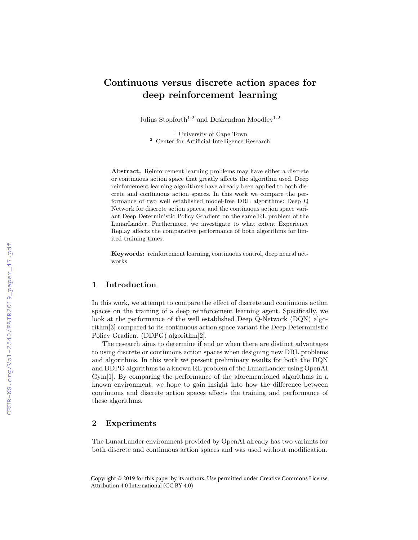# Continuous versus discrete action spaces for deep reinforcement learning

Julius Stopforth<sup>1,2</sup> and Deshendran Moodlev<sup>1,2</sup>

<sup>1</sup> University of Cape Town <sup>2</sup> Center for Artificial Intelligence Research

Abstract. Reinforcement learning problems may have either a discrete or continuous action space that greatly affects the algorithm used. Deep reinforcement learning algorithms have already been applied to both discrete and continuous action spaces. In this work we compare the performance of two well established model-free DRL algorithms: Deep Q Network for discrete action spaces, and the continuous action space variant Deep Deterministic Policy Gradient on the same RL problem of the LunarLander. Furthermore, we investigate to what extent Experience Replay affects the comparative performance of both algorithms for limited training times.

Keywords: reinforcement learning, continuous control, deep neural networks

# 1 Introduction

In this work, we attempt to compare the effect of discrete and continuous action spaces on the training of a deep reinforcement learning agent. Specifically, we look at the performance of the well established Deep Q-Network (DQN) algorithm[3] compared to its continuous action space variant the Deep Deterministic Policy Gradient (DDPG) algorithm[2].

The research aims to determine if and or when there are distinct advantages to using discrete or continuous action spaces when designing new DRL problems and algorithms. In this work we present preliminary results for both the DQN and DDPG algorithms to a known RL problem of the LunarLander using OpenAI Gym[1]. By comparing the performance of the aforementioned algorithms in a known environment, we hope to gain insight into how the difference between continuous and discrete action spaces affects the training and performance of these algorithms.

#### 2 Experiments

The LunarLander environment provided by OpenAI already has two variants for both discrete and continuous action spaces and was used without modification.

Copyright © 2019 for this paper by its authors. Use permitted under Creative Commons License Attribution 4.0 International (CC BY 4.0)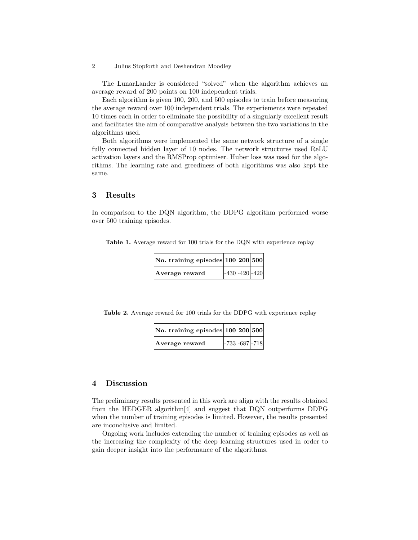2 Julius Stopforth and Deshendran Moodley

The LunarLander is considered "solved" when the algorithm achieves an average reward of 200 points on 100 independent trials.

Each algorithm is given 100, 200, and 500 episodes to train before measuring the average reward over 100 independent trials. The experiements were repeated 10 times each in order to eliminate the possibility of a singularly excellent result and facilitates the aim of comparative analysis between the two variations in the algorithms used.

Both algorithms were implemented the same network structure of a single fully connected hidden layer of 10 nodes. The network structures used ReLU activation layers and the RMSProp optimiser. Huber loss was used for the algorithms. The learning rate and greediness of both algorithms was also kept the same.

# 3 Results

In comparison to the DQN algorithm, the DDPG algorithm performed worse over 500 training episodes.

Table 1. Average reward for 100 trials for the DQN with experience replay

| $ No.$ training episodes $ 100 200 500$ |                    |  |
|-----------------------------------------|--------------------|--|
| Average reward                          | $-430 - 420 - 420$ |  |

Table 2. Average reward for 100 trials for the DDPG with experience replay

| $ No.$ training episodes $ 100 200 500$ |  |                    |
|-----------------------------------------|--|--------------------|
| Average reward                          |  | $ -733 -687 -718 $ |

#### 4 Discussion

The preliminary results presented in this work are align with the results obtained from the HEDGER algorithm[4] and suggest that DQN outperforms DDPG when the number of training episodes is limited. However, the results presented are inconclusive and limited.

Ongoing work includes extending the number of training episodes as well as the increasing the complexity of the deep learning structures used in order to gain deeper insight into the performance of the algorithms.